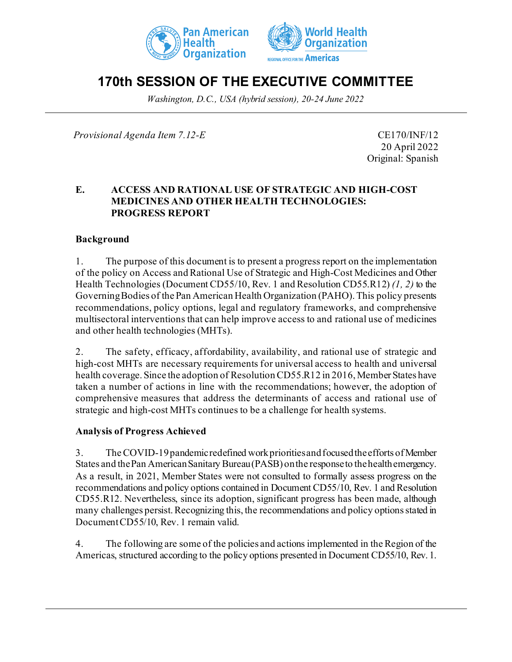



# **170th SESSION OF THE EXECUTIVE COMMITTEE**

*Washington, D.C., USA (hybrid session), 20-24 June 2022*

*Provisional Agenda Item 7.12-E* CE170/INF/12

20 April 2022 Original: Spanish

#### **E. ACCESS AND RATIONAL USE OF STRATEGIC AND HIGH-COST MEDICINES AND OTHER HEALTH TECHNOLOGIES: PROGRESS REPORT**

#### **Background**

1. The purpose of this document is to present a progress report on the implementation of the policy on Access and Rational Use of Strategic and High-Cost Medicines and Other Health Technologies (Document CD55/10, Rev. 1 and Resolution CD55.R12) *(1, 2)* to the Governing Bodies of the Pan American Health Organization (PAHO). This policy presents recommendations, policy options, legal and regulatory frameworks, and comprehensive multisectoral interventions that can help improve access to and rational use of medicines and other health technologies (MHTs).

2. The safety, efficacy, affordability, availability, and rational use of strategic and high-cost MHTs are necessary requirements for universal access to health and universal health coverage. Since the adoption of Resolution CD55.R12 in 2016, Member States have taken a number of actions in line with the recommendations; however, the adoption of comprehensive measures that address the determinants of access and rational use of strategic and high-cost MHTs continues to be a challenge for health systems.

#### **Analysis of Progress Achieved**

3. The COVID-19 pandemic redefined work priorities and focused the efforts of Member States and the Pan American Sanitary Bureau(PASB) onthe response to the health emergency. As a result, in 2021, Member States were not consulted to formally assess progress on the recommendations and policy options contained in Document CD55/10, Rev. 1 and Resolution CD55.R12. Nevertheless, since its adoption, significant progress has been made, although many challenges persist. Recognizing this, the recommendations and policy options stated in Document CD55/10, Rev. 1 remain valid.

4. The following are some of the policies and actions implemented in the Region of the Americas, structured according to the policy options presented in Document CD55/10, Rev. 1.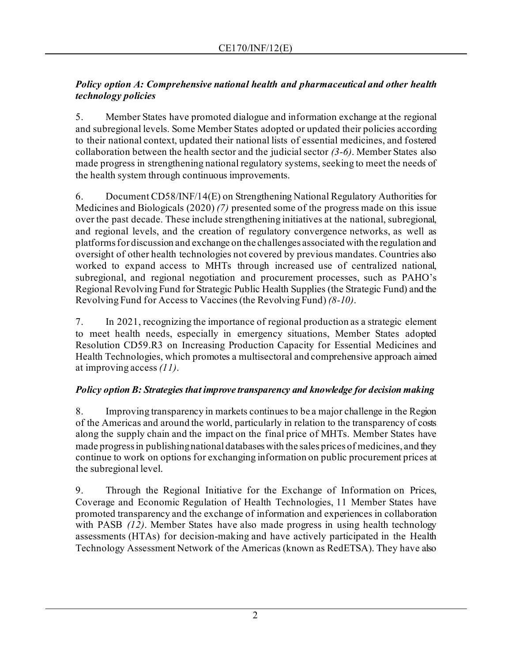## *Policy option A: Comprehensive national health and pharmaceutical and other health technology policies*

5. Member States have promoted dialogue and information exchange at the regional and subregional levels. Some Member States adopted or updated their policies according to their national context, updated their national lists of essential medicines, and fostered collaboration between the health sector and the judicialsector *(3-6)*. Member States also made progress in strengthening national regulatory systems, seeking to meet the needs of the health system through continuous improvements.

6. Document CD58/INF/14(E) on Strengthening National Regulatory Authorities for Medicines and Biologicals (2020) *(7)* presented some of the progress made on this issue over the past decade. These include strengthening initiatives at the national, subregional, and regional levels, and the creation of regulatory convergence networks, as well as platforms for discussion and exchange on the challenges associated with the regulation and oversight of other health technologies not covered by previous mandates. Countries also worked to expand access to MHTs through increased use of centralized national, subregional, and regional negotiation and procurement processes, such as PAHO's Regional Revolving Fund for Strategic Public Health Supplies (the Strategic Fund) and the Revolving Fund for Access to Vaccines (the Revolving Fund) *(8-10)*.

7. In 2021, recognizing the importance of regional production as a strategic element to meet health needs, especially in emergency situations, Member States adopted Resolution CD59.R3 on Increasing Production Capacity for Essential Medicines and Health Technologies, which promotes a multisectoral and comprehensive approach aimed at improving access *(11)*.

# *Policy option B: Strategies that improve transparency and knowledge for decision making*

8. Improving transparency in markets continues to be a major challenge in the Region of the Americas and around the world, particularly in relation to the transparency of costs along the supply chain and the impact on the final price of MHTs. Member States have made progress in publishing national databases with the sales prices of medicines, and they continue to work on options for exchanging information on public procurement prices at the subregional level.

9. Through the Regional Initiative for the Exchange of Information on Prices, Coverage and Economic Regulation of Health Technologies, 11 Member States have promoted transparency and the exchange of information and experiences in collaboration with PASB *(12)*. Member States have also made progress in using health technology assessments (HTAs) for decision-making and have actively participated in the Health Technology Assessment Network of the Americas (known as RedETSA). They have also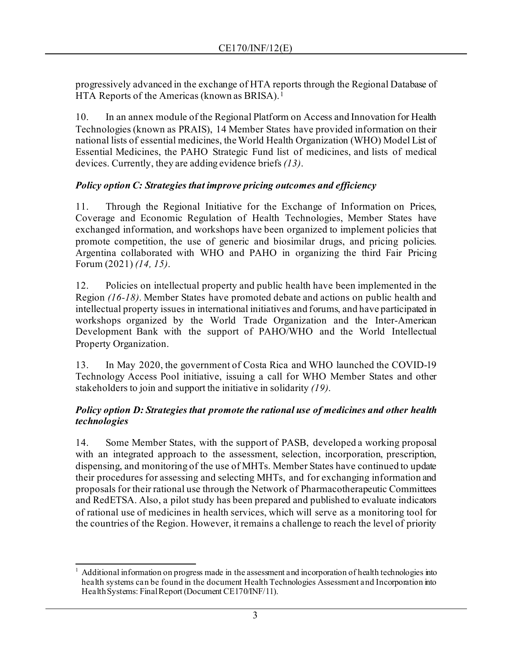progressively advanced in the exchange of HTA reports through the Regional Database of HTA Reports of the Americas (known as BRISA). [1](#page-2-0)

10. In an annex module of the Regional Platform on Access and Innovation for Health Technologies (known as PRAIS), 14 Member States have provided information on their national lists of essential medicines, the World Health Organization (WHO) Model List of Essential Medicines, the PAHO Strategic Fund list of medicines, and lists of medical devices. Currently, they are adding evidence briefs *(13)*.

## *Policy option C: Strategies that improve pricing outcomes and efficiency*

11. Through the Regional Initiative for the Exchange of Information on Prices, Coverage and Economic Regulation of Health Technologies, Member States have exchanged information, and workshops have been organized to implement policies that promote competition, the use of generic and biosimilar drugs, and pricing policies. Argentina collaborated with WHO and PAHO in organizing the third Fair Pricing Forum (2021) *(14, 15)*.

12. Policies on intellectual property and public health have been implemented in the Region *(16-18)*. Member States have promoted debate and actions on public health and intellectual property issues in international initiatives and forums, and have participated in workshops organized by the World Trade Organization and the Inter-American Development Bank with the support of PAHO/WHO and the World Intellectual Property Organization.

13. In May 2020, the government of Costa Rica and WHO launched the COVID-19 Technology Access Pool initiative, issuing a call for WHO Member States and other stakeholders to join and support the initiative in solidarity *(19)*.

#### *Policy option D: Strategies that promote the rational use of medicines and other health technologies*

14. Some Member States, with the support of PASB, developed a working proposal with an integrated approach to the assessment, selection, incorporation, prescription, dispensing, and monitoring of the use of MHTs. Member States have continued to update their procedures for assessing and selecting MHTs, and for exchanging information and proposals for their rational use through the Network of Pharmacotherapeutic Committees and RedETSA. Also, a pilot study has been prepared and published to evaluate indicators of rational use of medicines in health services, which will serve as a monitoring tool for the countries of the Region. However, it remains a challenge to reach the level of priority

<span id="page-2-0"></span><sup>1</sup> Additional information on progress made in the assessment and incorporation of health technologies into health systems can be found in the document Health Technologies Assessment and Incorporation into Health Systems: Final Report (Document CE170/INF/11).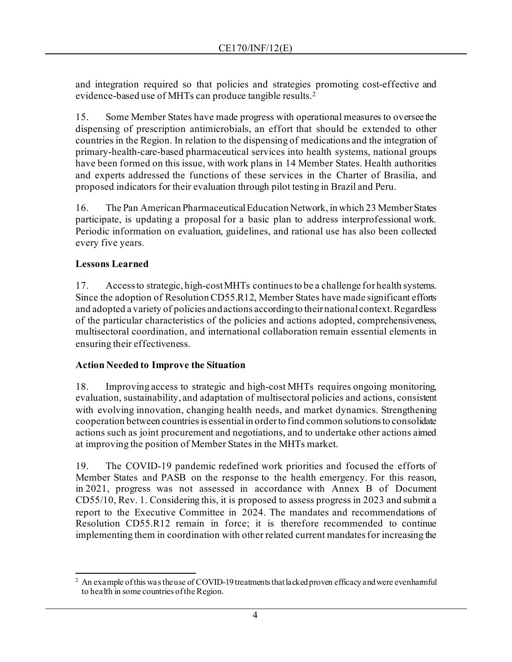and integration required so that policies and strategies promoting cost-effective and evidence-based use of MHTs can produce tangible results.[2](#page-3-0)

15. Some Member States have made progress with operational measures to oversee the dispensing of prescription antimicrobials, an effort that should be extended to other countries in the Region. In relation to the dispensing of medications and the integration of primary-health-care-based pharmaceutical services into health systems, national groups have been formed on this issue, with work plans in 14 Member States. Health authorities and experts addressed the functions of these services in the Charter of Brasilia, and proposed indicators for their evaluation through pilot testing in Brazil and Peru.

16. The Pan American Pharmaceutical Education Network, in which 23 Member States participate, is updating a proposal for a basic plan to address interprofessional work. Periodic information on evaluation, guidelines, and rational use has also been collected every five years.

## **Lessons Learned**

17. Access to strategic, high-cost MHTs continues to be a challenge for health systems. Since the adoption of Resolution CD55.R12, Member States have made significant efforts and adopted a variety of policies andactions according to their national context. Regardless of the particular characteristics of the policies and actions adopted, comprehensiveness, multisectoral coordination, and international collaboration remain essential elements in ensuring their effectiveness.

#### **Action Needed to Improve the Situation**

18. Improving access to strategic and high-cost MHTs requires ongoing monitoring, evaluation, sustainability, and adaptation of multisectoral policies and actions, consistent with evolving innovation, changing health needs, and market dynamics. Strengthening cooperation between countries is essential in order to find common solutions to consolidate actions such as joint procurement and negotiations, and to undertake other actions aimed at improving the position of Member States in the MHTs market.

19. The COVID-19 pandemic redefined work priorities and focused the efforts of Member States and PASB on the response to the health emergency. For this reason, in 2021, progress was not assessed in accordance with Annex B of Document CD55/10, Rev. 1. Considering this, it is proposed to assess progress in 2023 and submit a report to the Executive Committee in 2024. The mandates and recommendations of Resolution CD55.R12 remain in force; it is therefore recommended to continue implementing them in coordination with other related current mandates for increasing the

<span id="page-3-0"></span><sup>&</sup>lt;sup>2</sup> An example of this was the use of COVID-19 treatments that lacked proven efficacy and were even harmful to health in some countries of the Region.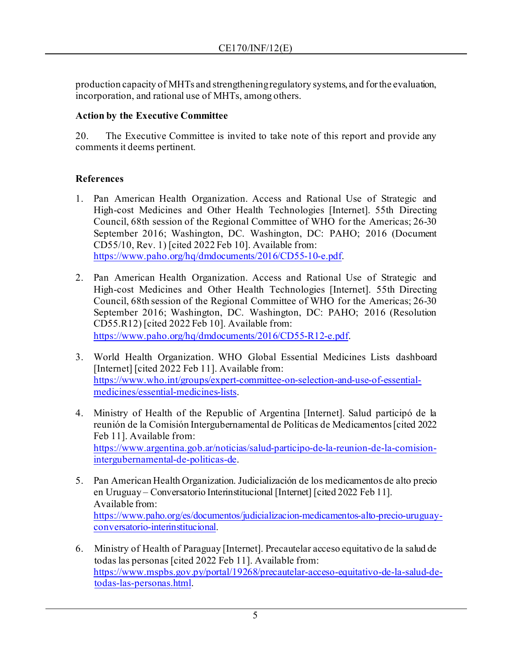production capacity of MHTs and strengthening regulatory systems, and for the evaluation, incorporation, and rational use of MHTs, among others.

#### **Action by the Executive Committee**

20. The Executive Committee is invited to take note of this report and provide any comments it deems pertinent.

## **References**

- 1. Pan American Health Organization. Access and Rational Use of Strategic and High-cost Medicines and Other Health Technologies [Internet]. 55th Directing Council, 68th session of the Regional Committee of WHO for the Americas; 26-30 September 2016; Washington, DC. Washington, DC: PAHO; 2016 (Document CD55/10, Rev. 1) [cited 2022 Feb 10]. Available from: <https://www.paho.org/hq/dmdocuments/2016/CD55-10-e.pdf>.
- 2. Pan American Health Organization. Access and Rational Use of Strategic and High-cost Medicines and Other Health Technologies [Internet]. 55th Directing Council, 68th session of the Regional Committee of WHO for the Americas; 26-30 September 2016; Washington, DC. Washington, DC: PAHO; 2016 (Resolution CD55.R12) [cited 2022 Feb 10]. Available from: <https://www.paho.org/hq/dmdocuments/2016/CD55-R12-e.pdf>.
- 3. World Health Organization. WHO Global Essential Medicines Lists dashboard [Internet] [cited 2022 Feb 11]. Available from: [https://www.who.int/groups/expert-committee-on-selection-and-use-of-essential](https://www.who.int/groups/expert-committee-on-selection-and-use-of-essential-medicines/essential-medicines-lists)[medicines/essential-medicines-lists](https://www.who.int/groups/expert-committee-on-selection-and-use-of-essential-medicines/essential-medicines-lists).
- 4. Ministry of Health of the Republic of Argentina [Internet]. Salud participó de la reunión de la Comisión Intergubernamental de Políticas de Medicamentos [cited 2022 Feb 11]. Available from: [https://www.argentina.gob.ar/noticias/salud-participo-de-la-reunion-de-la-comision](https://www.argentina.gob.ar/noticias/salud-participo-de-la-reunion-de-la-comision-intergubernamental-de-politicas-de)[intergubernamental-de-politicas-de](https://www.argentina.gob.ar/noticias/salud-participo-de-la-reunion-de-la-comision-intergubernamental-de-politicas-de).
- 5. Pan American Health Organization. Judicialización de los medicamentos de alto precio en Uruguay – Conversatorio Interinstitucional [Internet] [cited 2022 Feb 11]. Available from: [https://www.paho.org/es/documentos/judicializacion-medicamentos-alto-precio-uruguay](https://www.paho.org/es/documentos/judicializacion-medicamentos-alto-precio-uruguay-conversatorio-interinstitucional)[conversatorio-interinstitucional](https://www.paho.org/es/documentos/judicializacion-medicamentos-alto-precio-uruguay-conversatorio-interinstitucional).
- 6. Ministry of Health of Paraguay [Internet]. Precautelar acceso equitativo de la salud de todas las personas [cited 2022 Feb 11]. Available from: [https://www.mspbs.gov.py/portal/19268/precautelar-acceso-equitativo-de-la-salud-de](https://www.mspbs.gov.py/portal/19268/precautelar-acceso-equitativo-de-la-salud-de-todas-las-personas.html)[todas-las-personas.html](https://www.mspbs.gov.py/portal/19268/precautelar-acceso-equitativo-de-la-salud-de-todas-las-personas.html).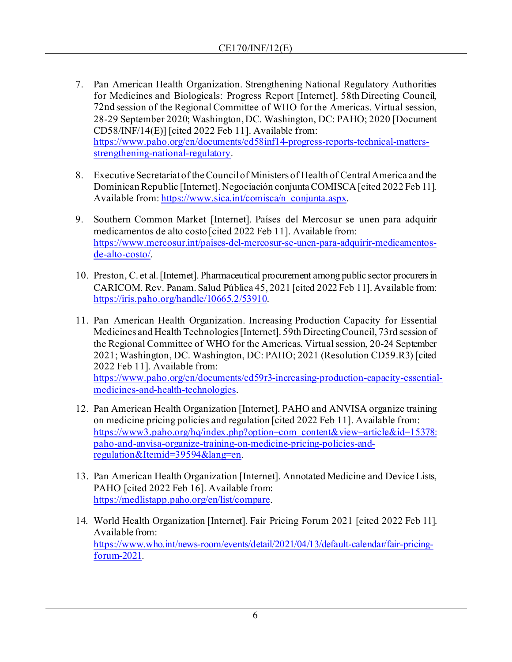- 7. Pan American Health Organization. Strengthening National Regulatory Authorities for Medicines and Biologicals: Progress Report [Internet]. 58th Directing Council, 72nd session of the Regional Committee of WHO for the Americas. Virtual session, 28-29 September 2020; Washington, DC. Washington, DC: PAHO; 2020 [Document CD58/INF/14(E)] [cited 2022 Feb 11]. Available from: [https://www.paho.org/en/documents/cd58inf14-progress-reports-technical-matters](https://www.paho.org/en/documents/cd58inf14-progress-reports-technical-matters-strengthening-national-regulatory)[strengthening-national-regulatory](https://www.paho.org/en/documents/cd58inf14-progress-reports-technical-matters-strengthening-national-regulatory).
- 8. Executive Secretariat of the Council of Ministers of Health of Central America and the Dominican Republic [Internet]. Negociación conjunta COMISCA [cited 2022 Feb 11]. Available from[: https://www.sica.int/comisca/n\\_conjunta.aspx](https://www.sica.int/comisca/n_conjunta.aspx).
- 9. Southern Common Market [Internet]. Países del Mercosur se unen para adquirir medicamentos de alto costo [cited 2022 Feb 11]. Available from: [https://www.mercosur.int/paises-del-mercosur-se-unen-para-adquirir-medicamentos](https://www.mercosur.int/paises-del-mercosur-se-unen-para-adquirir-medicamentos-de-alto-costo/)[de-alto-costo/](https://www.mercosur.int/paises-del-mercosur-se-unen-para-adquirir-medicamentos-de-alto-costo/).
- 10. Preston, C. et al. [Internet]. Pharmaceutical procurement among public sector procurers in CARICOM. Rev. Panam. Salud Pública 45, 2021 [cited 2022 Feb 11]. Available from: <https://iris.paho.org/handle/10665.2/53910>.
- 11. Pan American Health Organization. Increasing Production Capacity for Essential Medicines and Health Technologies [Internet]. 59th Directing Council, 73rd session of the Regional Committee of WHO for the Americas. Virtual session, 20-24 September 2021; Washington, DC. Washington, DC: PAHO; 2021 (Resolution CD59.R3) [cited 2022 Feb 11]. Available from: [https://www.paho.org/en/documents/cd59r3-increasing-production-capacity-essential](https://www.paho.org/en/documents/cd59r3-increasing-production-capacity-essential-medicines-and-health-technologies)[medicines-and-health-technologies](https://www.paho.org/en/documents/cd59r3-increasing-production-capacity-essential-medicines-and-health-technologies).
- 12. Pan American Health Organization [Internet]. PAHO and ANVISA organize training on medicine pricing policies and regulation [cited 2022 Feb 11]. Available from: [https://www3.paho.org/hq/index.php?option=com\\_content&view=article&id=15378:](https://www3.paho.org/hq/index.php?option=com_content&view=article&id=15378:paho-and-anvisa-organize-training-on-medicine-pricing-policies-and-regulation&Itemid=39594&lang=en) [paho-and-anvisa-organize-training-on-medicine-pricing-policies-and](https://www3.paho.org/hq/index.php?option=com_content&view=article&id=15378:paho-and-anvisa-organize-training-on-medicine-pricing-policies-and-regulation&Itemid=39594&lang=en)[regulation&Itemid=39594&lang=en](https://www3.paho.org/hq/index.php?option=com_content&view=article&id=15378:paho-and-anvisa-organize-training-on-medicine-pricing-policies-and-regulation&Itemid=39594&lang=en).
- 13. Pan American Health Organization [Internet]. Annotated Medicine and Device Lists, PAHO [cited 2022 Feb 16]. Available from: <https://medlistapp.paho.org/en/list/compare>.
- 14. World Health Organization [Internet]. Fair Pricing Forum 2021 [cited 2022 Feb 11]. Available from: [https://www.who.int/news-room/events/detail/2021/04/13/default-calendar/fair-pricing](https://www.who.int/news-room/events/detail/2021/04/13/default-calendar/fair-pricing-forum-2021)[forum-2021](https://www.who.int/news-room/events/detail/2021/04/13/default-calendar/fair-pricing-forum-2021).